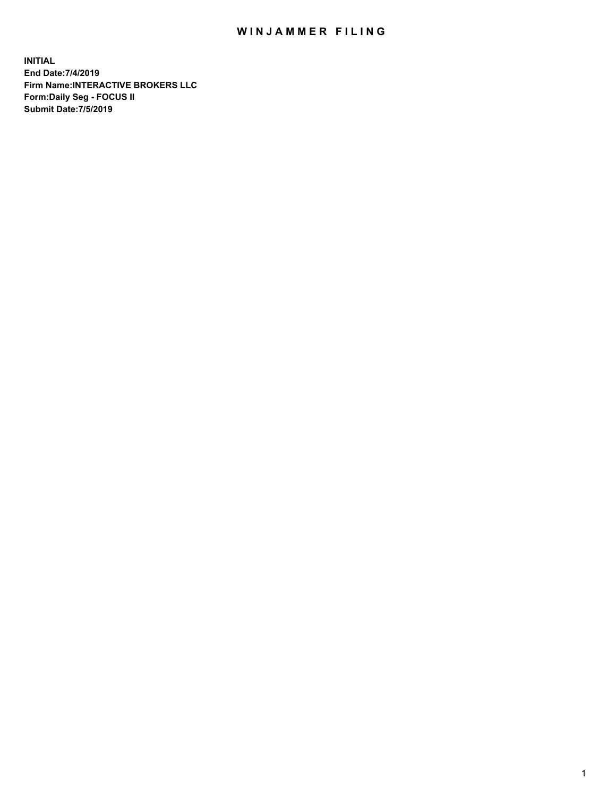## WIN JAMMER FILING

**INITIAL End Date:7/4/2019 Firm Name:INTERACTIVE BROKERS LLC Form:Daily Seg - FOCUS II Submit Date:7/5/2019**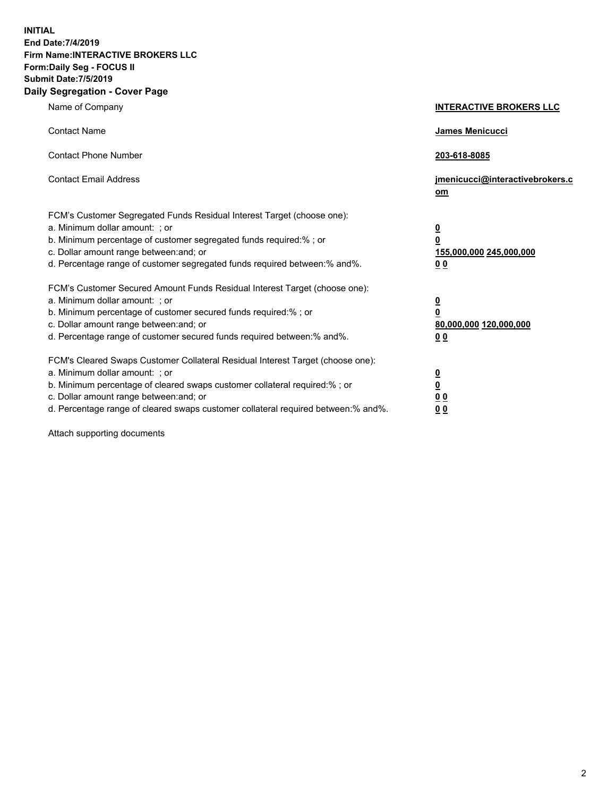**INITIAL End Date:7/4/2019 Firm Name:INTERACTIVE BROKERS LLC Form:Daily Seg - FOCUS II Submit Date:7/5/2019 Daily Segregation - Cover Page**

| Name of Company                                                                                                                                                                                                                                                                                                                | <b>INTERACTIVE BROKERS LLC</b>                                                                  |
|--------------------------------------------------------------------------------------------------------------------------------------------------------------------------------------------------------------------------------------------------------------------------------------------------------------------------------|-------------------------------------------------------------------------------------------------|
| <b>Contact Name</b>                                                                                                                                                                                                                                                                                                            | <b>James Menicucci</b>                                                                          |
| <b>Contact Phone Number</b>                                                                                                                                                                                                                                                                                                    | 203-618-8085                                                                                    |
| <b>Contact Email Address</b>                                                                                                                                                                                                                                                                                                   | jmenicucci@interactivebrokers.c<br>om                                                           |
| FCM's Customer Segregated Funds Residual Interest Target (choose one):<br>a. Minimum dollar amount: ; or<br>b. Minimum percentage of customer segregated funds required:% ; or<br>c. Dollar amount range between: and; or<br>d. Percentage range of customer segregated funds required between:% and%.                         | $\overline{\mathbf{0}}$<br>$\overline{\mathbf{0}}$<br>155,000,000 245,000,000<br>0 <sub>0</sub> |
| FCM's Customer Secured Amount Funds Residual Interest Target (choose one):<br>a. Minimum dollar amount: ; or<br>b. Minimum percentage of customer secured funds required:%; or<br>c. Dollar amount range between: and; or<br>d. Percentage range of customer secured funds required between:% and%.                            | $\frac{0}{0}$<br>80,000,000 120,000,000<br>0 <sub>0</sub>                                       |
| FCM's Cleared Swaps Customer Collateral Residual Interest Target (choose one):<br>a. Minimum dollar amount: ; or<br>b. Minimum percentage of cleared swaps customer collateral required:% ; or<br>c. Dollar amount range between: and; or<br>d. Percentage range of cleared swaps customer collateral required between:% and%. | $\frac{0}{0}$<br>0 <sub>0</sub><br>0 <sub>0</sub>                                               |

Attach supporting documents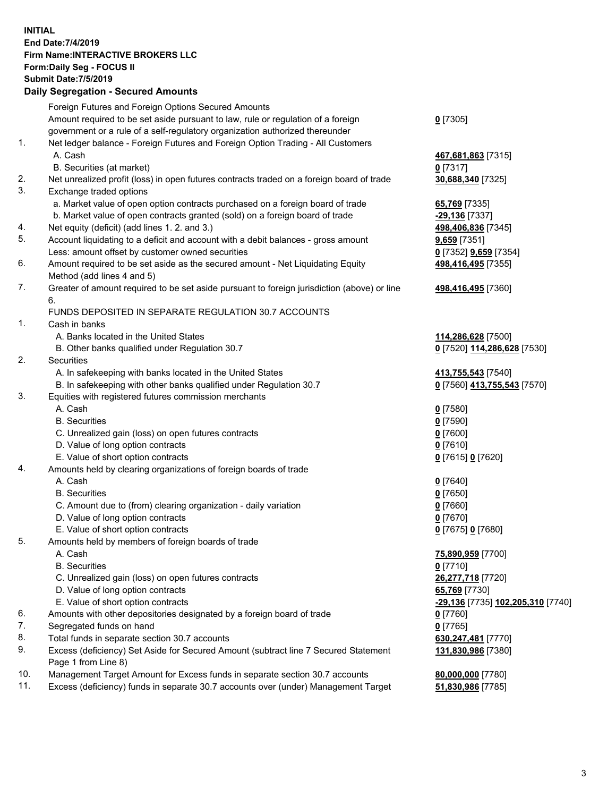## **INITIAL End Date:7/4/2019 Firm Name:INTERACTIVE BROKERS LLC Form:Daily Seg - FOCUS II Submit Date:7/5/2019 Daily Segregation - Secured Amounts**

|     | 2011, Ocglegation - Oceaned Anioanto                                                        |                                          |
|-----|---------------------------------------------------------------------------------------------|------------------------------------------|
|     | Foreign Futures and Foreign Options Secured Amounts                                         |                                          |
|     | Amount required to be set aside pursuant to law, rule or regulation of a foreign            | $0$ [7305]                               |
|     | government or a rule of a self-regulatory organization authorized thereunder                |                                          |
| 1.  | Net ledger balance - Foreign Futures and Foreign Option Trading - All Customers             |                                          |
|     | A. Cash                                                                                     | 467,681,863 [7315]                       |
|     | B. Securities (at market)                                                                   | 0 [7317]                                 |
| 2.  | Net unrealized profit (loss) in open futures contracts traded on a foreign board of trade   | 30,688,340 [7325]                        |
| 3.  | Exchange traded options                                                                     |                                          |
|     | a. Market value of open option contracts purchased on a foreign board of trade              | 65,769 [7335]                            |
|     | b. Market value of open contracts granted (sold) on a foreign board of trade                | -29,136 [7337]                           |
| 4.  | Net equity (deficit) (add lines 1.2. and 3.)                                                | 498,406,836 [7345]                       |
| 5.  | Account liquidating to a deficit and account with a debit balances - gross amount           | 9,659 [7351]                             |
|     | Less: amount offset by customer owned securities                                            | 0 [7352] <b>9,659</b> [7354]             |
| 6.  | Amount required to be set aside as the secured amount - Net Liquidating Equity              | 498,416,495 [7355]                       |
|     | Method (add lines 4 and 5)                                                                  |                                          |
| 7.  | Greater of amount required to be set aside pursuant to foreign jurisdiction (above) or line | 498,416,495 [7360]                       |
|     | 6.                                                                                          |                                          |
|     | FUNDS DEPOSITED IN SEPARATE REGULATION 30.7 ACCOUNTS                                        |                                          |
| 1.  | Cash in banks                                                                               |                                          |
|     | A. Banks located in the United States                                                       | 114,286,628 [7500]                       |
|     | B. Other banks qualified under Regulation 30.7                                              | 0 [7520] 114,286,628 [7530]              |
| 2.  | Securities                                                                                  |                                          |
|     | A. In safekeeping with banks located in the United States                                   | 413,755,543 [7540]                       |
|     | B. In safekeeping with other banks qualified under Regulation 30.7                          | 0 [7560] 413,755,543 [7570]              |
| 3.  | Equities with registered futures commission merchants                                       |                                          |
|     | A. Cash                                                                                     | $0$ [7580]                               |
|     | <b>B.</b> Securities                                                                        | $0$ [7590]                               |
|     | C. Unrealized gain (loss) on open futures contracts                                         | $0$ [7600]                               |
|     | D. Value of long option contracts                                                           | $0$ [7610]                               |
|     | E. Value of short option contracts                                                          | 0 [7615] 0 [7620]                        |
| 4.  | Amounts held by clearing organizations of foreign boards of trade                           |                                          |
|     | A. Cash                                                                                     | $0$ [7640]                               |
|     | <b>B.</b> Securities                                                                        | $0$ [7650]                               |
|     | C. Amount due to (from) clearing organization - daily variation                             | $0$ [7660]                               |
|     | D. Value of long option contracts                                                           | $0$ [7670]                               |
|     | E. Value of short option contracts                                                          | 0 [7675] 0 [7680]                        |
| 5.  | Amounts held by members of foreign boards of trade                                          |                                          |
|     | A. Cash                                                                                     | 75,890,959 [7700]                        |
|     | <b>B.</b> Securities                                                                        | $0$ [7710]                               |
|     | C. Unrealized gain (loss) on open futures contracts                                         | 26,277,718 [7720]                        |
|     | D. Value of long option contracts                                                           | 65,769 [7730]                            |
|     | E. Value of short option contracts                                                          | <u>-29,136</u> [7735] 102,205,310 [7740] |
| 6.  | Amounts with other depositories designated by a foreign board of trade                      | 0 [7760]                                 |
| 7.  | Segregated funds on hand                                                                    | $0$ [7765]                               |
| 8.  | Total funds in separate section 30.7 accounts                                               | 630,247,481 [7770]                       |
| 9.  | Excess (deficiency) Set Aside for Secured Amount (subtract line 7 Secured Statement         | 131,830,986 [7380]                       |
|     | Page 1 from Line 8)                                                                         |                                          |
| 10. | Management Target Amount for Excess funds in separate section 30.7 accounts                 | 80,000,000 [7780]                        |
| 11. | Excess (deficiency) funds in separate 30.7 accounts over (under) Management Target          | 51,830,986 [7785]                        |
|     |                                                                                             |                                          |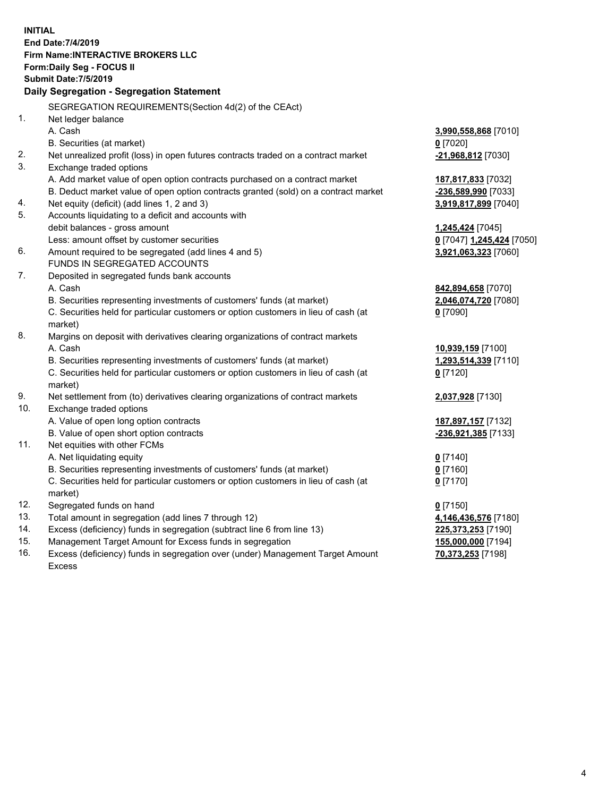**INITIAL End Date:7/4/2019 Firm Name:INTERACTIVE BROKERS LLC Form:Daily Seg - FOCUS II Submit Date:7/5/2019 Daily Segregation - Segregation Statement** SEGREGATION REQUIREMENTS(Section 4d(2) of the CEAct) 1. Net ledger balance A. Cash **3,990,558,868** [7010] B. Securities (at market) **0** [7020] 2. Net unrealized profit (loss) in open futures contracts traded on a contract market **-21,968,812** [7030] 3. Exchange traded options A. Add market value of open option contracts purchased on a contract market **187,817,833** [7032] B. Deduct market value of open option contracts granted (sold) on a contract market **-236,589,990** [7033] 4. Net equity (deficit) (add lines 1, 2 and 3) **3,919,817,899** [7040] 5. Accounts liquidating to a deficit and accounts with debit balances - gross amount **1,245,424** [7045] Less: amount offset by customer securities **0** [7047] **1,245,424** [7050] 6. Amount required to be segregated (add lines 4 and 5) **3,921,063,323** [7060] FUNDS IN SEGREGATED ACCOUNTS 7. Deposited in segregated funds bank accounts A. Cash **842,894,658** [7070] B. Securities representing investments of customers' funds (at market) **2,046,074,720** [7080] C. Securities held for particular customers or option customers in lieu of cash (at market) **0** [7090] 8. Margins on deposit with derivatives clearing organizations of contract markets A. Cash **10,939,159** [7100] B. Securities representing investments of customers' funds (at market) **1,293,514,339** [7110] C. Securities held for particular customers or option customers in lieu of cash (at market) **0** [7120] 9. Net settlement from (to) derivatives clearing organizations of contract markets **2,037,928** [7130] 10. Exchange traded options A. Value of open long option contracts **187,897,157** [7132] B. Value of open short option contracts **-236,921,385** [7133] 11. Net equities with other FCMs A. Net liquidating equity **0** [7140] B. Securities representing investments of customers' funds (at market) **0** [7160] C. Securities held for particular customers or option customers in lieu of cash (at market) **0** [7170] 12. Segregated funds on hand **0** [7150] 13. Total amount in segregation (add lines 7 through 12) **4,146,436,576** [7180] 14. Excess (deficiency) funds in segregation (subtract line 6 from line 13) **225,373,253** [7190] 15. Management Target Amount for Excess funds in segregation **155,000,000** [7194] 16. Excess (deficiency) funds in segregation over (under) Management Target Amount **70,373,253** [7198]

Excess